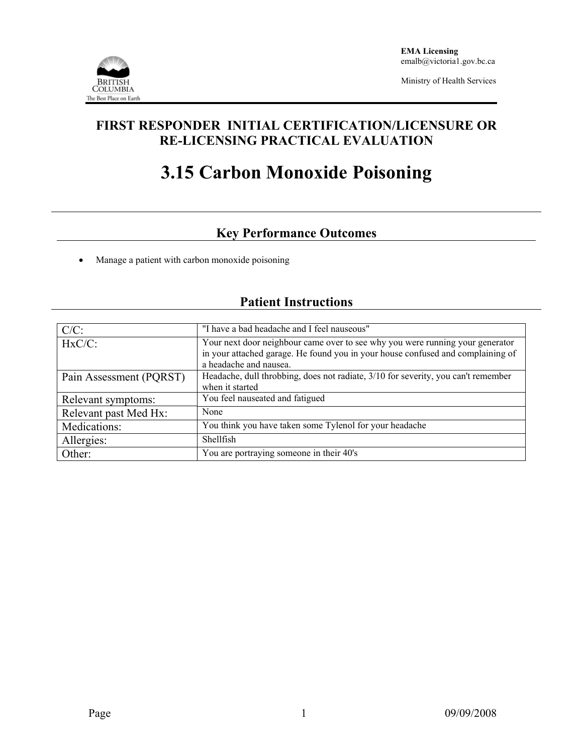

Ministry of Health Services

## **FIRST RESPONDER INITIAL CERTIFICATION/LICENSURE OR RE-LICENSING PRACTICAL EVALUATION**

# **3.15 Carbon Monoxide Poisoning**

# **Key Performance Outcomes**

• Manage a patient with carbon monoxide poisoning

| $C/C$ :                 | "I have a bad headache and I feel nauseous"                                                                                                                                                |  |  |
|-------------------------|--------------------------------------------------------------------------------------------------------------------------------------------------------------------------------------------|--|--|
| $HxC/C$ :               | Your next door neighbour came over to see why you were running your generator<br>in your attached garage. He found you in your house confused and complaining of<br>a headache and nausea. |  |  |
| Pain Assessment (PQRST) | Headache, dull throbbing, does not radiate, 3/10 for severity, you can't remember<br>when it started                                                                                       |  |  |
| Relevant symptoms:      | You feel nauseated and fatigued                                                                                                                                                            |  |  |
| Relevant past Med Hx:   | None                                                                                                                                                                                       |  |  |
| Medications:            | You think you have taken some Tylenol for your headache                                                                                                                                    |  |  |
| Allergies:              | Shellfish                                                                                                                                                                                  |  |  |
| Other:                  | You are portraying someone in their 40's                                                                                                                                                   |  |  |

### **Patient Instructions**